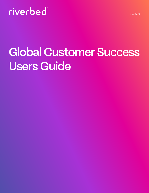# riverbed

# Global Customer Success Users Guide

- 
- 
- 
- 
- 
- - -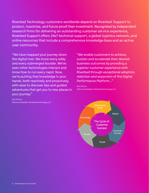Riverbed Technology customers worldwide depend on Riverbed Support to protect, maximize, and future-proof their investment. Recognized by independent research firms for delivering an outstanding customer service experience, Riverbed Support offers 24x7 technical support, a global logistics network, and online resources that include a comprehensive knowledge base and an active user community.

"We have mapped your journey down the digital river. We know every eddy and every submerged boulder. We've seen other technologies interact and know how to run every rapid. Now, we're putting that knowledge in your hands, both reactively and proactively, with ease to discover tips and guided adventures that get you to new places in your journey."

#### Dan Smoot, CEO and President, Riverbed Technology LLC

"We enable customers to achieve, sustain and accelerate their desired business outcomes by providing a superior customer experience with Riverbed through exceptional adoption, retention and expansion of the Digital Performance Platform…"

Dan Smoot, CEO and President, Riverbed Technology LLC

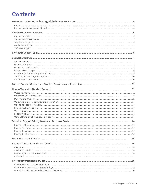# **Contents**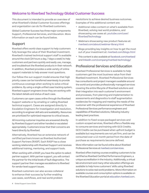#### <span id="page-3-0"></span>Welcome to Riverbed Technology Global Customer Success

This document is intended to provide an overview of what Riverbed's Global Customer Success offerings and organization can do for Riverbed customers.

Global Customer Success has three major components: Support, Professional Services, and Education. More information on each can be found below.

#### Support

Riverbed offers world-class support to help customers fully leverage the value of their Riverbed investment. Riverbed's trained technical support staff is available around the clock (24 hours a day, 7 days a week) to help customers and partners quickly and easily use, manage, and troubleshoot the Riverbed products in their network. In addition, Riverbed provides a wide variety of online support materials to help answer most questions.

Our follow-the-sun support model ensures that high priority cases can be transferred seamlessly to provide continuous coverage when working to solve critical problems. By using a single unified case tracking system, Riverbed support engineers know they are working with the latest details and status of each case.

Customers can open cases online through the Riverbed Support website or by emailing or calling Riverbed technical support. Cases are assigned directly to Escalation Engineers for investigation and resolution, according to engineer skill sets and availability. Resources are prioritized for optimized response to critical issues.

All incoming customer inquiries are answered directly by Riverbed Support and either handled or escalated appropriately. Customers know that their concerns are heard directly by Riverbed.

Alternatively, Riverbed has an extensive network of certified partners known as Riverbed Authorized Support Partners (RASP). Each RASP has a close working relationship with Riverbed Support and receives additional training, mentoring, and support tools.

When working with a RASP, you have the option to select partner support. With partner support, you will contact the partner for the initial levels of fault diagnostics. The support partner then manages escalations to Riverbed for vendor level support issues.

Riverbed customers can also access collateral to enhance their success by further enabling use cases, workflows, and real world problem

resolutions to achieve desired business outcomes. Examples of this additional content are:

- **•** Additional video content on what's available from Riverbed, solving real world problems, and showcasing use cases at: [youtube.com/user/](https://www.youtube.com/user/RiverbedTechnology) [RiverbedTechnology](https://www.youtube.com/user/RiverbedTechnology)
- **•** Webinars showcasing new product features at: [riverbed.com/about/webinar-library.html](https://www.riverbed.com/about/webinar-library.html#!filter-page=1)
- **•** Blogs providing key insights on how to get the most out of your investment at: [riverbed.com/blogs.html](https://www.riverbed.com/blogs.html)
- **•** This content is also available at [facebook.com/riverbed/](https://www.facebook.com/riverbed/) and [linkedin.com/company/riverbed-technology/](https://www.linkedin.com/authwall?trk=ripf&trkInfo=AQFcdJhvaYJ3swAAAYFJxy1Yxq5YZlzoJqZnIccioImjHhn73-s-Cz83sh9m0G99RTwU0dfiCmWdx7Ij1z68E6Q_eA_aD7t6xGpAXy8FN1Y-hVZvsyMY3-JqpSCnzYkCpp2JVIs=&original_referer=&sessionRedirect=https%3A%2F%2Fwww.linkedin.com%2Fcompany%2Friverbed-technology%2F)

#### Professional Services and Education

Riverbed Professional Services is available to help customers get the most business value from their Riverbed investment. Riverbed Professional Services has consultants and project managers available around the world and provides professionally managed services covering the entire lifecycle of Riverbed solutions and their integration into each customer's environment and processes, from planning and implementation to assessments and diagnostics to staff augmentation residencies for mapping and meeting the needs of the customer with the professional experience of Riverbed Professional Services performance engineers and capabilities of Riverbed solutions, following industry leading best practices.

In addition to fixed-scope packaged services and custom-scoped services, Riverbed offers a flexible way to consume services and training with GCS Credits. GCS Credits can be purchased when upfront budget is available but requirements are not yet firm, and can be consumed over a 12 month period from the date of purchase as requirements become defined.

More information can be found online about Riverbed Professional Services at [riverbed.com/services.](https://www.riverbed.com/services/index.html)

Riverbed offers training courses enabling customers to be certified as Riverbed Certified Performance Engineers, a unique accreditation in the industry. Additionally, a virtual lab environment and many other education offerings are available to help hone customers' skills using Riverbed solutions to solve real world problems. More information on available courses and consumption options is available on the Riverbed Education portal at [education.riverbed.com](https://education.riverbed.com/).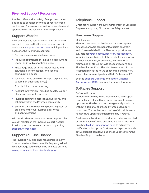#### <span id="page-4-0"></span>Riverbed Support Resources

Riverbed offers a wide variety of support resources designed to enhance the value of your Riverbed deployment. These resources and tools provide several approaches to find solutions and solve problems.

#### Support Website

Riverbed provides customers with an authorized account to access the Riverbed support website available at [support.riverbed.com](https://support.riverbed.com/), which provides access to the following resources:

- **•** Software releases and release notes
- **•** Product documentation, including deployment, usage, and troubleshooting guides
- **•** Knowledge Base detailing known issues and solutions, error messages, and specific configuration issues
- **•** Technical notes providing in-depth explanations to common questions (FAQs)
- **•** Trouble ticket / case reporting
- **•** Account information, including assets, support plans, and account contacts
- **•** Riverbed forum to share ideas, questions, and solutions within the Riverbed community
- **•** System Dump Analyzer to help identify potential problems with your Riverbed appliances and configurations

With a valid Riverbed Maintenance and Support plan, you can register on the Riverbed support website to set up your username and password by visiting [support.riverbed.com.](https://support.riverbed.com/)

## Support YouTube Channel

The Riverbed YouTube channel addresses many 'how to' questions. New content is frequently added. We encourage you to subscribe and stay current. [www.youtube.com/user/riverbedsupport](https://www.youtube.com/user/riverbedsupport).

#### Telephone Support

Direct hotline support lets customers contact an Escalation Engineer at any time, 24 hours a day, 7 days a week.

#### Hardware Support

#### **Maintenance**

Riverbed uses reasonable efforts to repair or replace defective hardware components, subject to certain exclusions as detailed in the Riverbed support terms available at [riverbed.com/supportservicedescription](https://www.riverbed.com/document/fpo/Support/support_description-of-maintenance-and-support-services_general-info.pdf), including but not limited to if the product or component has been damaged, mishandled, mistreated, or maintained or stored outside of specifications and Riverbed instructions. The Maintenance and Support level determines the hours of coverage and delivery speed of replacement parts and Field Technicians (FE).

See the [Support Offerings](#page-6-1) and [Return Material](#page-14-0)  [Authorization \(RMA\)](#page-14-0) sections for more information.

#### Software Support

#### Software Updates

Products covered by a valid Maintenance and Support contract qualify for software maintenance releases and updates as Riverbed makes them generally available without additional charge to Riverbed's Support customers. The contents and timing of all maintenance releases and updates are determined by Riverbed.

Customers subscribed to product updates are notified by email when software becomes available. Visit the Riverbed [Mailing Subscription page](https://support.riverbed.com/content/login/login_support.html?redirectUrl=http%3A%2F%2Fsupport.riverbed.com%2Fcontent%2Fsupport%2Fmy_riverbed%2Fmailing_subscriptions.html&unauthorized=true) to adjust your notification subscription. Customers with products under active support can download these updates from the Riverbed Support website.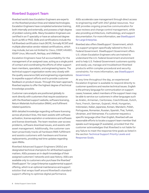#### <span id="page-5-0"></span>Riverbed Support Team

Riverbed world class Escalation Engineers are experts on the Riverbed product lines and related technologies. Escalation Engineers have completed extensive training, both internally and externally, and possess a high degree of problem solving skills. Many Escalation Engineers are certified in an IT specialty or have an advanced degree (such as MS or PhD). Skills and certifications include the full Riverbed certification track (RCPE, formally RCSP) and multiple alternative vendor related certifications, which may include, but are not limited to: Cisco, CISSP, InfoSEC, ISSAP Linux, Microsoft, NetApp, and VMWare.

Escalation Engineers have full accountability for the management of an assigned case, acting as a single point of contact and coordinating the efforts of other support team members, specialists, and engineering teams. The technical support organization works very closely with the quality assurance (QA) and engineering organizations to expedite support efforts and to provide customer feedback on product issues. Through this team approach, Riverbed aspires to offer the highest degree of technical knowledge possible.

Customer care analysts are positioned globally to work directly with customers that require assistance with the Riverbed support website, software licensing, Return Materials Authorization (RMA), and fulfilment related questions.

With detailed knowledge regarding software licensing across all product lines, this team assists with software activation, license expiration or extensions and software and license downloads. The team resolves user access problems, software download issues, and assists with asset management. Additionally, the customer care team proactively tracks all hardware RMA fulfillment and assists customers with hardware and license replacements, providing real time updates regarding open RMAs.

Riverbed Advanced Support Engineers (ASEs) are designated technical champions for all Riverbed support matters. ASEs possess an in-depth knowledge of their assigned customers' networks and case history. ASEs are available only to customers who purchase the Riverbed® SteelSupport<sup>®</sup> for Large Enterprise supplemental support offering, which is an optional maintenance and support solution that wraps itself around Riverbed's standard support offering to optimize digital performance.

ASEs accelerate case management through direct access to engineering staff with 24x7 global resources. Your ASE provides ongoing proactive communication for case reviews and change control management, while also providing architecture, methodology, and support documentation. For more information, see [SteelSupport](#page-9-0)  [for Large Enterprise](#page-9-0).

Riverbed also offers SteelSupport™ Government, which is a support program specifically tailored to the U.S. Federal Government. SteelSupport Government offers U.S. citizen Escalation Engineers who are trained to understand the U.S. Federal Government environment and to help U.S. Federal Government customers quickly and easily use, manage and troubleshoot Riverbed products within complex procedural and security constraints. For more information, see [SteelSupport](#page-9-0)  [Government.](#page-9-0)

At any time throughout the day, an experienced Escalation Engineer is available to respond directly to customer questions and resolve technical issues. English is the primary language for communication on support cases; however, select members of the support team may be able to service our customers in other languages such as Arabic, Armenian, Cantonese, Czech/Slovak, Dutch, Farsi, French, German, Gujarati, Hindi, Hungarian, Indonesian, Italian, Japanese, Korean, Mandarin, Polish, Portuguese, Romanian, Russian, Spanish, Thai, Turkish, Ukrainian, and Vietnamese. If a customer requests a specific language other than English, Riverbed will use reasonable efforts to locate a support team member that speaks such language (if available), provided that the customer acknowledges that Riverbed is not liable for any failure to meet the response time goals as listed in the section [Technical Support Priority Levels and](#page-13-0)  [Response Goals.](#page-13-0)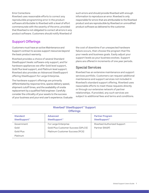#### <span id="page-6-0"></span>Error Corrections

Riverbed uses reasonable efforts to correct any reproducible programming error in the product software attributable to Riverbed with a level of effort commensurate with the severity of the error, provided that Riverbed is not obligated to correct all errors in any product software. Customers should notify Riverbed of

such errors and should provide Riverbed with enough information to reproduce an error. Riverbed is only responsible for errors that are attributable to the Riverbed product and are reproducible by Riverbed on unmodified product software as delivered to the customer.

#### <span id="page-6-1"></span>Support Offerings

Customers must have an active Maintenance and Support contract to access support resources beyond the basic product warranty.

Riverbed provides a choice of several Standard SteelSupport levels: software-only support, and for hardware appliances we offer Gold level support, Gold Plus level support, and Platinum level support. Riverbed also provides an Advanced SteelSupport offering SteelSupport for Large Enterprise.

The hardware support offerings are primarily differentiated by response time, spares delivery speed, shipment cutoff times, and the availability of onsite replacement by a qualified field engineer. Carefully consider the criticality of your assets to the success of your business and your end user's experience. Evaluate

the cost of downtime if an unexpected hardware failure occurs, then choose the program that fits your needs and business goals. Easily adjust your support levels as your business evolves. Support plans are offered in increments of one year periods.

#### Special Services

Riverbed has an extensive maintenance and support services portfolio. Customers can request additional maintenance and support services not included in Riverbed's standard support offering. Riverbed uses reasonable efforts to meet these requests directly or through our extensive network of partner relationships. If provided, any such services are subject to additional fees and terms and conditions.

| <u>Kivelbed oteelouppolit ouppolit</u><br><b>Offerings</b> |                                                                                               |                                                     |  |
|------------------------------------------------------------|-----------------------------------------------------------------------------------------------|-----------------------------------------------------|--|
| <b>Standard</b><br>SteelSupport™                           | <b>Advanced</b><br>SteelSupport™                                                              | <b>Partner Program</b><br>SteelSupport <sup>™</sup> |  |
| Government<br>Gold<br>Gold Plus                            | For Large Enterprise<br>Gold Plus Customer Success (GPLCS)<br>Platinum Customer Success (PCS) | Riverbed Authorized Support<br>Partner (RASP)       |  |
| Platinum                                                   |                                                                                               |                                                     |  |

# Riverbed® SteelSupport™ Support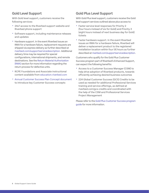## <span id="page-7-0"></span>Gold Level Support

With Gold level support, customers receive the following services:

- **•** 24x7 access to the Riverbed support website and Riverbed phone support
- **•** Software support, including maintenance releases and updates
- **•** Hardware support. In the event Riverbed issues an RMA for a hardware failure, replacement requests are shipped via express delivery as further described at [riverbed.com/supportservicedescription](chrome-extension://efaidnbmnnnibpcajpcglclefindmkaj/https://www.riverbed.com/sites/default/files/file/2022-05/mazumaintenanceandsupportservices.pdf). Additional delivery time may be required for special configurations, international shipments, and remote destinations. See the [Return Material Authorization](#page-14-0)  [\(RMA\)](#page-14-0) section for more information regarding the return process for defective units.
- **•** RCPE Foundations and Associate instructional content available from [education.riverbed.com](https://education.riverbed.com/help/articles/rcpe-for-customers)
- **•** [Annual Customer Success Plan Concept document](https://support.riverbed.com/content/login/login_support.html?redirectUrl=https%3A%2F%2Fsupport.riverbed.com%2Fbin%2Fsupport%2Fdownload%3Fdid%3Do9chn1vq8d9gd1lv84eno9f894&unauthorized=true) to introduce key Customer Success concepts

## Gold Plus Level Support

With Gold Plus level support, customers receive the Gold level support services outlined above plus access to:

- **•** Faster service level responses for Priority 2 (four hours instead of six for Gold) and Priority 3 (eight hours instead of next business day for Gold) tickets
- **•** Faster hardware support. In the event Riverbed issues an RMA for a hardware failure, Riverbed will deliver a replacement product to the registered installation location within four (4) hours as further described at [riverbed.com/supportservicedescription](chrome-extension://efaidnbmnnnibpcajpcglclefindmkaj/https://www.riverbed.com/sites/default/files/file/2022-05/mazumaintenanceandsupportservices.pdf).

Customers who qualify for the Gold Plus Customer Success program part of Riverbed's Enhanced Support, can expect the following benefits:

- **•** Access to a Customer Success Manager (CSM) to help drive adoption of Riverbed products, towards efficiently achieving desired business outcomes
- **•** 224 Global Customer Success (GCS) Credits to be used as needed for additional Professional Services training and service offerings, as defined at riverbed.com/gcs-credits and coordinated with the help of the CSM and Professional Services Project Management

Please refer to the [Gold Plus Customer Success program](chrome-extension://efaidnbmnnnibpcajpcglclefindmkaj/https://www.riverbed.com/sites/default/files/document/brochures/services/gold-plus-customer-success-program.pdf)  [guide](chrome-extension://efaidnbmnnnibpcajpcglclefindmkaj/https://www.riverbed.com/sites/default/files/document/brochures/services/gold-plus-customer-success-program.pdf) for more information.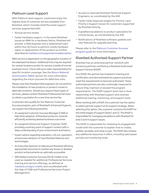## <span id="page-8-0"></span>Platinum Level Support

With Platinum level support, customers enjoy the highest level of customer service available from Riverbed, which includes Gold Plus level support services augmented with:

- **•** Annual service review
- **•** Faster hardware support. In the event Riverbed issues an RMA for a hardware failure, Riverbed will provide a field engineer and a replacement part within four (4) hours to perform onsite hardware repair or replacement of the product as further described at [riverbed.com/supportservicedescription.](chrome-extension://efaidnbmnnnibpcajpcglclefindmkaj/https://www.riverbed.com/sites/default/files/file/2022-05/mazumaintenanceandsupportservices.pdf)

RMA service is dependent on the geographic location of the deployed hardware. Additional time may be required for certain locations and/or for service outside of normal business hours. Check with your sales representative for specific location coverage. See the [Return Material](#page-14-0)  [Authorization \(RMA\)](#page-14-0) section for more information regarding the return process for defective units.

Please note that Riverbed field engineers do not perform the installation of new products or product moves to alternate locations. Should you require these types of services, please contact Riverbed Professional Services to obtain a quotation for a one-time service fee.

Customers who qualify for the Platinum Customer Success program, part of Riverbed's Enhanced Support, can expect the following benefits:

- **•** An assigned Customer Success Manager (CSM) to help drive adoption of Riverbed products, towards efficiently achieving desired business outcomes
- **•** An assigned Advanced Support Engineer (ASE) providing a primary point of support contact with a deep understanding of your environment and history
- **•** Expert advice regarding evaluation, roll-out, operation, and process adoption of new Riverbed features and technologies
- **•** An Executive Sponsor to help ensure Riverbed will bring appropriate resources to resolve any issues or develop product enhancements as optimally as possible
- **•** 498 Global Customer Success (GCS) Credits to be used as needed for additional Professional Services training and service offerings, as defined at [riverbed.com/gcs-credits](https://www.riverbed.com/services/gcs-credits.html) and coordinated with the help of CSM and Professional Services Project Management.
- **•** Access to reserved Riverbed Technical Support Engineers, as coordinated by the ASE
- **•** Faster initial response targets for Priority 1 and Priority 2 Support issues for customers supported by Riverbed directly
- **•** Expedited escalations to product specialists for critical issues, as coordinated by the ASE
- **•** Notifications of Riverbed software updates and new features for upgrade planning

Please refer to the [Platinum Customer Success](chrome-extension://efaidnbmnnnibpcajpcglclefindmkaj/https://www.riverbed.com/sites/default/files/document/brochures/platinum-customer-success.pdf)  [program guide](chrome-extension://efaidnbmnnnibpcajpcglclefindmkaj/https://www.riverbed.com/sites/default/files/document/brochures/platinum-customer-success.pdf) for more information.

#### Riverbed Authorized Support Partner

Riverbed has an extensive partner network with numerous partners certified as a Riverbed Authorized Support Partner (RASP).

As a RASP, the partner has invested in training and certification and demonstrated its support practices meet the requirements to become authorized. These authorized partners are also continually measured to ensure they maintain or exceed the program requirements. The RASP support team has a close relationship with Riverbed support and receives additional training, mentoring, and support tools.

When working with a RASP, the customer has the option to select partner support as its support strategy. When selecting this option, the customer contacts the RASP for the initial stages of support (level 1 and 2). The RASP is responsible for managing escalations with Riverbed for level 3 and 4 support issues.

The RASP is responsible for reviewing its engagement model with the customer to explain how to create, update, escalate, and close a case. The RASP also reviews any additional resources it offers, including web based portals and monitoring tools.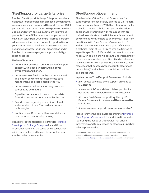## <span id="page-9-0"></span>SteelSupport for Large Enterprise

Riverbed SteelSupport for Large Enterprise provides a higher level of support for mission critical environments. A designated primary Advanced Support Engineer (ASE) partners with your organization to help achieve maximum uptime and return on your investment in Riverbed products. Your ASE helps ensure that you extract maximum value from your entire Riverbed portfolio, addresses continuous improvement opportunities for your operations and business processes, and is a designated advocate inside your organization and at Riverbed to accelerate progress, improve visibility, and sustain success.

Key benefits include:

- **•** An ASE that provides a primary point of support contact with a deep understanding of your environment and history
- **•** Access to SMEs familiar with your network and application environment to accelerate case management, as coordinated by the ASE
- **•** Access to reserved Escalation Engineers, as coordinated by the ASE
- **•** Expedited escalations to product specialists for critical issues, as coordinated by the ASE
- **•** Expert advice regarding evaluation, roll-out, and operation of new Riverbed features and technologies
- **•** Notification of Riverbed software updates and new features for upgrade planning

Please refer to the applicable brochure for [Riverbed](chrome-extension://efaidnbmnnnibpcajpcglclefindmkaj/https://www.riverbed.com/sites/default/files/file/2022-01/steelsupport-large-enterprise.pdf)  [SteelSupport for Large Enterprise](chrome-extension://efaidnbmnnnibpcajpcglclefindmkaj/https://www.riverbed.com/sites/default/files/file/2022-01/steelsupport-large-enterprise.pdf) for additional information regarding the scope of this service. For pricing information and terms, please contact your Riverbed sales representative.

#### SteelSupport Government

Riverbed offers "SteelSupport Government", a support program specifically tailored to U.S. Federal Government customers. With this offering, we make it simple to reach Technical Support and conduct appropriate interactions with resources that are trained to understand the U.S. Federal Government environment. We are there to answer your important questions. With SteelSupport Government, U.S. Federal Government customers gain 24/7 access to a technical team of U.S. citizens who are trained to expedite specific U.S. Federal Government customer needs with domain knowledge and understanding of their environmental complexities. Riverbed also uses reasonable efforts to make available technical support resources that possess proper security clearances (as available)\* and adhere to specialized policies and procedures.

Key features of SteelSupport Government include:

- **•** 24x7 access to remote phone support provided by U.S. citizens
- **•** Access to a toll-free and direct dial support hotline dedicated to U.S. Federal Government customers
- **•** All phone / web / email support inquiries by U.S. Federal Government customers will be answered by U.S. citizens
- **•** Access to cleared support personnel (as available)\*

Please refer to the applicable brochure for [Riverbed](https://www.riverbed.com/document/datasheets/steelsupport-government-for-us-federal-customers-datasheet.pdf)  [SteelSupport Government](https://www.riverbed.com/document/datasheets/steelsupport-government-for-us-federal-customers-datasheet.pdf) for additional information regarding the scope of this service. For pricing information and terms, please contact your Riverbed sales representative.

\*SteelSupport Government for products in a classified environment are subject to additional requirements. See the Riverbed support terms available at [riverbed.com/supportservicedescription](https://www.riverbed.com/document/fpo/Support/support_description-of-maintenance-and-support-services_general-info.pdf) for additional information.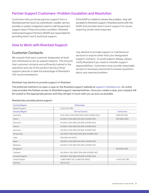#### <span id="page-10-0"></span>Partner Support Customers—Problem Escalation and Resolution

Customers who purchase partner support from a Riverbed partner (such as a distributor, reseller, service provider or system integrator) need to call the partner's support team if they encounter a problem. Riverbed Authorized Support Partners (RASP) are responsible for providing level 1 and 2 technical support.

If the RASP is unable to resolve the problem, they will escalate to Riverbed support. Riverbed works with the RASP and provides level 3 and 4 support for issues requiring vendor level response.

#### How to Work with Riverbed Support

#### Customer Contacts

We request that each customer designates at least two individuals to act as support liaisons. This ensures that customer contacts are sufficiently trained in the operation and use of the product during critical support periods to take full advantage of Riverbed's TAC recommendations.

may decline to provide support or maintenance services to anyone other than your designated support contacts. To avoid support delays, please notify Riverbed if you need to transfer support responsibilities. Customers must provide reasonable access to necessary personnel to answer questions about any reported problem.

#### Riverbed may decline to provide support or Riverbed

The preferred method is to open a case on the Riverbed support website at [support.riverbed.com.](https://support.riverbed.com/) An online case provides the fastest access to Riverbed support representatives. Once you create a case, your request will be routed to the appropriate person and they will get in touch with you as soon as possible.

|  |  | Riverbed also provides phone support. |  |
|--|--|---------------------------------------|--|
|--|--|---------------------------------------|--|

| <b>Country/Region</b> | <b>Toll Number</b>                            |                 |  |
|-----------------------|-----------------------------------------------|-----------------|--|
| Global Support        | +1 415.247.7381                               |                 |  |
| <b>Country/Region</b> | <b>Toll Free Number</b><br><b>Toll Number</b> |                 |  |
| Australia             | 0011.800.4.782.3822 (0011.800.4.RVBD.TAC)     | 1300.007.823    |  |
| China                 | 00.800.4.782.3822 (00.800.4.RVBD.TAC)         | 400.882.2065    |  |
| Denmark               | 00.800.4.782.3822 (00.800.4.RVBD.TAC)         |                 |  |
| France                | 00.800.4.782.3822 (00.800.4.RVBD.TAC)         |                 |  |
| Germany               | 00.800.4.782.3822 (00.800.4.RVBD.TAC)         |                 |  |
| Hong Kong             | 001.800.4.782.3822 (001.800.4.RVBD.TAC)       |                 |  |
| India                 | 000.800.001.6524                              |                 |  |
| Japan                 | 00.800.4.782.3822 (00.800.4.RVBD.TAC)         |                 |  |
| Malaysia              | 00.800.4.782.3822 (00.800.4.RVBD.TAC)         |                 |  |
| Singapore             |                                               | 65.6508.7422    |  |
| Thailand              | 001.800.4.782.3822 (001.800.4.RVBD.TAC)       |                 |  |
| United Kingdom        | 00.800.4.782.3822 (00.800.4.RVBD.TAC)         |                 |  |
| <b>United States</b>  | 1-888-RVBD-TAC (1-888-782-3822)               | +1 415.247.7381 |  |
| Vietnam               | 120.11.071                                    |                 |  |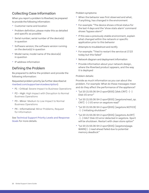## <span id="page-11-0"></span>Collecting Case Information

When you report a problem to Riverbed, be prepared to provide the following information:

- **•** Customer name and location
- **•** Problem definition; please make this as detailed and specific as possible
- **•** Serial number; serial number of the device(s) in question
- **•** Software version; the software version running on the device(s) in question
- **•** Model name; model name of the device(s) in question
- **•** IP address information

#### Defining the Problem

Be prepared to define the problem and provide the following information:

Requested problem priority (as further described at [riverbed.com/supportservicedescription](https://www.riverbed.com/document/fpo/Support/support_description-of-maintenance-and-support-services_general-info.pdf)):

- **•** P1 Critical: Severe Impact to Business Operations
- **•** P2 High: High Impact with Disruption to Normal Business Operations
- **•** P3 Minor: Medium to Low Impact to Normal Business Operations
- **•** P4 Informational: Minor Problems, Request for Information

See [Technical Support Priority Levels and Response](#page-13-0)  [Goals](#page-13-0) for more details.

Problem symptoms:

- **•** When the behavior was first observed and what, if anything, has changed in the environment
- **•** For example: "The device shows critical status for the last 4 days and the 'show stats alarm' command shows 'bypass alarm"
- **•** If this was a previously stable environment, explain what changed within the network or specific application prior to this behavior
- **•** Attempts to troubleshoot and rectify
- **•** For example: "Tried to restart the service at 17:23 today but this failed"
- **•** Network diagram and deployment information
- **•** Provide information about your network design, where the Riverbed product appears, and the way it is deployed

#### Problem details:

Provide as much information as you can about the problem. For example: What do these messages mean and do they affect the performance of the appliance?

- **•** "Jul 20 21:55:36 SH-2 sport[655]: [disk.CRIT] {- -} Disk I/O error"
- **•** "Jul 20 21:55:36 SH-2 sport[655]: [segstore/read\_op. CRIT] - {--} I/O error on segstore read"
- **•** "Jul 20 21:55:36 SH-2 sport[655]: [segstore.NOTICE] - {- -} Initiating shutdown"
- **•** "Jul 20 21:55:36 SH-2 sport[655]: [segstore.ALERT] - {- -} HALT Disk I/O error detected in segstore. Sport will be shutdown. Restart with clean store option"
- **•** "Jul 20 21:55:36 SH-2 sport[655]: [segstore/page. WARN] {- -} read ahead failed due to potential memory deadlock"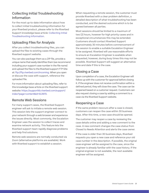# <span id="page-12-0"></span>Collecting Initial Troubleshooting Information

For the most up-to-date information about how to collect initial troubleshooting information for your Riverbed product, please refer to the Riverbed Support knowledge base article: [Collecting Initial](https://supportkb.riverbed.com/support/index?page=content&id=S17193)  [Troubleshooting Information.](https://supportkb.riverbed.com/support/index?page=content&id=S17193)

# Uploading Files for Analysis

After you collect troubleshooting files, you can upload the files to existing cases through the Riverbed support website.

You can also package them as a ZIP file, provide a unique name that easily identifies them (we recommend including your support case number in the file name) and upload the files to the Riverbed support FTP Site at:<ftp://ftp.riverbed.com/incoming>. When you open or discuss the case with support, reference the uploaded file.

For more information about uploading files, refer to this knowledge base article on the Riverbed support website: [https://supportkb.riverbed.com/support/](https://supportkb.riverbed.com/support/index?page=content&id=S13970)  [index?page=content&id=S13970.](https://supportkb.riverbed.com/support/index?page=content&id=S13970)

#### Remote Web Sessions

For many support cases, the Riverbed Support engineer will ask to initiate a remote web session. This session lets the support engineer connect to your network through a web browser and experience the issues directly. Most commonly, the Escalation Engineer uses the session to collect traces and examine network activity. This feature lets the Riverbed support team rapidly diagnose problems and help find solutions.

Remote web sessions are normally conducted via Zoom (alternative platforms are available). Work with Riverbed support to establish a session.

When requesting a remote session, the customer must provide Riverbed with a clear problem definition, a detailed description of what troubleshooting has been conducted, and the desired outcome which is to be agreed between all parties.

Most sessions should be limited to a maximum of two (2) hours, however for high priority cases and in exceptional circumstances this may be extended. Customers should contact Riverbed Support approximately 30 minutes before commencement of the session to enable a suitable Escalation Engineer to be assigned. Riverbed will use reasonable efforts to ensure an Escalation Engineer is available when requested, however, during busy times this may not be possible. Riverbed Support will suggest an alternative time and date if this is the case.

## Closing a Case

Upon completion of a case, the Escalation Engineer will follow up with the customer for approval before closing it. If the engineer does not receive confirmation within a defined period, they will close the case. The case can be reopened based on a customer request. Customers can also request closing a case by adding a comment to a case via the Riverbed Support website.

## Reopening a Case

If the same problem reoccurs after a case is closed, customers can reopen the case within 30 business days. After this time, a new case should be opened.

The customer may reopen a case by reviewing the case details online and adding a new comment to the case. A new comment changes the case status from Closed to Needs Attention and alerts the case owner.

If the case is older than 30 business days, Riverbed requests you open a new case and reference your old case number in the description. If possible, the original case engineer will be assigned to the case, since the engineer is already familiar with the case history. If the original engineer is not available, the next available engineer will be assigned.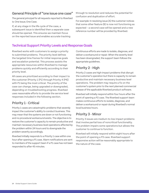#### <span id="page-13-0"></span>General Principle of "one issue one case"

The general principal for all requests reported to Riverbed is: One Issue; One Case.

If, at any stage in the life cycle of the case, a subsequent issue is identified then a separate case should be opened. This ensures we maintain focus on the reported issue and enables accurate tracking

through to resolution and reduces the potential for confusion and duplication of effort.

For example: In resolving issue (A) the customer notices that some other feature (B) is now not functioning as expected – a second case will be opened and a new reference number will be provided by Riverbed.

## Technical Support Priority Levels and Response Goals

Riverbed works with customers to assign a priority to submitted problems. The priority level defines the targeted time frames for initial response goals and escalation potential. This process assists the appropriate resources within Riverbed to manage problems quickly and efficiently according to their priority level.

All cases are prioritized according to their impact to the customer (Priority 1 (P1) through Priority 4 (P4)) with P1 being the most critical. The priority of the case can change, being upgraded or downgraded, depending on troubleshooting progress. Riverbed uses reasonable efforts to provide the service level responses included in the following section.

# Priority 1 - Critical

Priority 1 cases are catastrophic problems that severely impact the customer's ability to conduct business. This may mean that the systems are down or not functioning and no procedural workaround exists. The objective is to restore the customer's capacity to remain productive and maintain necessary business-level operations affected by the problem within 24 hours and to downgrade the problem severity accordingly.

Riverbed initially responds to a Priority 1 case within one hour after opening a P1 case. Alarm notifications are sent to members of the support team if a P1 case has not been responded to after 45 minutes.

Continuous efforts are made to isolate, diagnose, and deliver a workaround or repair. When the severity level has been downgraded, the support team follows the appropriate guidelines.

# Priority 2 - High

Priority 2 cases are high-impact problems that disrupt the customer's operation but there is capacity to remain productive and maintain necessary business level operations. The problem may require a fix on the customer's system prior to the next planned commercial release of the applicable Riverbed product software.

Riverbed will initially respond within four hours after the point of opening a P2 case. The Riverbed support team makes continuous efforts to isolate, diagnose, and deliver a workaround or repair during Riverbed's normal local business hours.

# Priority 3 - Minor

Priority 3 issues are medium-to-low impact problems that involve partial loss of noncritical functionality. The problem impairs some operations but allows the customer to continue to function.

Riverbed will initially respond within eight hours after the point of opening a P3 case. Riverbed support responsive action will be reasonably appropriate to the nature of the case.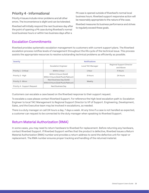#### <span id="page-14-0"></span>Priority 4 - Informational

Priority 4 issues include minor problems and all other errors. The inconvenience is slight and can be tolerated.

Riverbed will initially respond the next business day after the point of opening a P4 case during Riverbed's normal local business hours or within two business days after a

P4 case is opened outside of Riverbed's normal local business hours. Riverbed support responsive action will be reasonably appropriate to the nature of the case.

Riverbed measures its business performance and strives to regularly exceed these goals.

#### Escalation Commitments

Riverbed provides systematic escalation management to customers with current support plans. The Riverbed escalation process notifies levels of management throughout the life cycle of the technical issue. This process assists the appropriate resources to resolve outstanding technical problems as efficiently as possible.

| Severity                     | <b>Notifications</b>                                              |                          |                                        |
|------------------------------|-------------------------------------------------------------------|--------------------------|----------------------------------------|
|                              | <b>Escalation Engineer</b>                                        | Local TAC Manager        | Regional Support Director<br>and Above |
| Priority 1 - Critical        | Within 1 Hour                                                     | 1 Hour                   | 4 Hours                                |
| Priority 2 - High            | Within 6 Hours (Gold)<br>Within 4 Hours (Gold Plus & Platinum)    | 8 Hours                  | 24 Hours                               |
| Priority 3 - Minor           | Next Business Day (Gold)<br>Within 8 Hours (Gold Plus & Platinum) | Weekly                   |                                        |
| Priority 4 - Support Request | Next Business Day                                                 | $\overline{\phantom{a}}$ | $\sim$                                 |

Customers can escalate a case based on the Riverbed response to their support request.

To escalate a case please contact Riverbed Support. For reference the high-level escalation path is: Escalation Engineer to local TAC Management to Regional Support Director to VP of Support. Engineering, Development, Sales, and the Executive team may be involved in escalations, as needed.

There is a duty manager on call 24 hours a day, 7 days a week. At any time if a case is not handled as expected, a customer can request to be connected to the duty manager when speaking to Riverbed Support.

## Return Material Authorization (RMA)

In some cases, you may need to return hardware to Riverbed for replacement. Before returning any hardware, contact Riverbed Support. If Riverbed Support verifies that the product is defective, Riverbed issues a Return Material Authorization (RMA) number and provides a return address to send the defective unit for repair or replacement. The RMA number ensures proper tracking and handling of the returned material.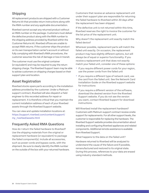## <span id="page-15-0"></span>Shipping

All replacement products are shipped with a Customer Returns kit that provides return instructions along with the RMA number and any applicable documentation.

Riverbed cannot accept any returned product without an RMA number on the package. Customers must deliver the defective product along with the RMA number to the shipping address provided by Riverbed within the Customer Returns kit. Riverbed offices are unable to accept RMA returns. If the customer ships the product on its own transportation carrier's account or without fully complying with Riverbed's RMA procedures, the customer assumes the risk of damage or loss in transit.

The customer must use the original container (or equivalent) and may be required to pay the return shipping charge. The Riverbed Support team may be able to advise customers on shipping charges based on their support plan and location.

# Asset Registration

Riverbed stocks spare parts according to the installation address provided by the customer. Under a Platinum support contract, Riverbed will also dispatch a field engineer to this recorded address for repair or replacement. It is therefore critical that you maintain the current installation address of each of your Riverbed assets through the Riverbed Support website.

You can view and update installation locations at: [https://support.riverbed.com/content/support/](https://support.riverbed.com/content/support/my_riverbed/assets.html) [my\\_riverbed/assets.html](https://support.riverbed.com/content/support/my_riverbed/assets.html)

## Frequently Asked RMA Questions

How do I return the failed hardware to Riverbed? Use the shipping materials from the original or replacement hardware (or equivalent) to package the failed component(s). Include all accessories, such as power cords and bypass cards, with the shipment. Be sure to clearly identify the RMA number on the outside of the box with your returned hardware.

Customers that receive an advance replacement unit under their support plan are responsible for returning the failed hardware to Riverbed within 30 days after the replacement has been shipped.

If the defective unit is not returned within this time, Riverbed reserves the right to invoice the customer for the list price of the replacement unit.

Why doesn't the replacement unit exactly match the failed device?

Wherever possible, replacement parts will match the failed unit exactly. On occasion, the replacement product may have slightly different options, but will always be of equal or superior functionality. If you receive a replacement unit that does not exactly match your failed unit, consider one of these options:

- **•** If you require different power cords for your region, use the power cords from the failed unit
- **•** If you require a different type of network card, use the card from the failed unit. See the Network Card Installation Guide on the Riverbed support website for instructions
- **•** If you require a different version of the software, download the desired version from the Riverbed Support website. If you do not see the version you want, contact Riverbed Support for download instructions.

Will Riverbed install the replacement hardware? Customers with Platinum support contract receive onsite support for replacements. For all other support levels, the customer is responsible for replacing the hardware. The Riverbed Support website provides documentation about installing and configuring Riverbed appliances and related components. Additional remote assistance is available from Riverbed Support.

What happens to the data on the failed unit?

Hardware returned to Riverbed will be analyzed to understand the cause of the failure and if possible, remanufactured and restored to its original state. During this process, references to your data are erased using industry standard methods.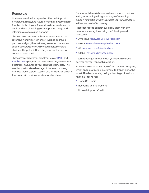#### <span id="page-16-0"></span>Renewals

Customers worldwide depend on Riverbed Support to protect, maximize, and future-proof their investments in Riverbed technologies. The worldwide renewals team is dedicated to maintaining your support coverage and retaining you as a valued customer.

The team works closely with our sales teams and our extensive worldwide network of Riverbed approved partners and you, the customer, to ensure continuous support coverage to your Riverbed deployment and eliminate the potential for outages where the support contract has expired.

The team works with you directly or via our [RASP](https://www.riverbed.com/support/support-partners.html) and [Riverbed RISE](https://www.riverbed.com/partner-blogs/riverbed-rise-new-partner-program.html) program partners to ensure you receive a quotation in advance of your contract expiry date. This enables you to take advantage of the award winning Riverbed global support teams, plus all the other benefits that come with having a valid support contract.

Our renewals team is happy to discuss support options with you, including taking advantage of extending support for multiple years to protect your infrastructure in the most cost-effective way.

Please feel free to contact our global team with any questions you may have using the following email addresses;

- **•** Americas: [renewals-us@riverbed.com](mailto:renewals-us%40riverbed.com?subject=)
- **•** EMEA: [renewals-emea@riverbed.com](mailto:renewals-emea%40riverbed.com?subject=)
- **•** APJ: [renewals-apj@riverbed.com](mailto:renewals-apj%40riverbed.com?subject=)
- **•** Global: [renewals@riverbed.com](mailto:renewals%40riverbed.com?subject=)

Alternatively get in touch with your local Riverbed partner for your renewal quotation.

You can also take advantage of our Trade Up Program, which enables existing customers to transition to the latest Riverbed models, taking advantage of various financial incentives:

- **•** Trade Up Credit
- **•** Recycling and Retirement
- **•** Unused Support Credit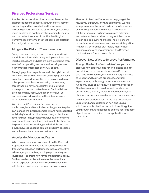#### <span id="page-17-0"></span>Riverbed Professional Services

Riverbed Professional Services provides the expertise enterprises need to succeed. Through expert lifecycle consulting and technical education services, delivered globally and backed by Riverbed, enterprises move quickly and confidently from vision to results and maximize the value of the Riverbed Digital Performance Platform, the most complete platform for the hybrid enterprise.

#### Mitigate the Risks of Transformation

Today, users are everywhere, frequently working in multiple locations while using multiple devices. As a result, applications and data are more distributed than ever before, operating in clouds and traveling across networks that enterprises don't fully control.

Managing application performance in this hybrid world is difficult. To make matters more challenging, additional complexity enters the equation as organizations tackle other projects such as consolidating data centers, strengthening network security, and migrating more apps to a cloud or SaaS model. Such initiatives are challenging, costly, and labor intensive. So enterprises need to mitigate the risks associated with these transformations.

With Riverbed Professional Services' proven methodologies and technical expertise, your enterprise can manage the inherent complexity and risk associated with today's hybrid architectures. Using sophisticated tools for baselining, predictive analytics, performance assessments, and monitoring and troubleshooting, we help enterprises reduce risk, gain the insight and datadriven knowledge needed to make intelligent decisions, and achieve optimal business performance.

#### Accelerate Adoption and Value

When businesses make investments in the Riverbed Application Performance Platform, they expect to transform application performance into a competitive advantage by maximizing employee productivity and leveraging IT to create new forms of operational agility. So they need expertise in the areas that are critical to driving expedient outcomes while avoiding common pitfalls, time wasters, and resource learning curves.

Riverbed Professional Services can help you get the results you expect, quickly and confidently. We help enterprises make the transition from proof-of-concept or initial deployments to full-scale production solutions, accelerating time to value and adoption. We partner with enterprises throughout the solution design and deployment process, helping ensure cross-functional readiness and business integration. As a result, enterprises can rapidly justify their business cases and investments in the Riverbed Application Performance Platform.

#### Discover New Ways to Improve Performance

Through Riverbed Professional Services, you can discover new opportunities for efficiencies and get everything you expect and more from Riverbed solutions. We reach beyond technical requirements to understand business processes, end-user expectations, technology interdependencies, and functional gaps or overlaps. We apply the full set of Riverbed solutions to baseline and trend current performance, identify areas for improvement, and eliminate future business disruptions from occurring.

As Riverbed product experts, we help enterprises understand and capitalize on new and unique solutions enabled by Riverbed solutions. We guide you through changes needed to achieve your business objectives and optimize critical applications and IT services.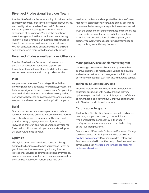## <span id="page-18-0"></span>Riverbed Professional Services Team

Riverbed Professional Services employs individuals who exemplify technical excellence, professionalism, service, and quality. When you hire Riverbed Professional Services, you're not just getting the skills and experience of one person. You get the benefit of an entire organization that's dedicated to capturing, improving, and leveraging an institutional knowledge base to better serve customer and market needs. You get consultants and educators who are led by a senior leadership team with decades of business

#### Riverbed Professional Services Offerings

Riverbed Professional Services provides a robust portfolio of consulting services to support you throughout the customer lifecycle while helping you ensure peak performance in the hybrid enterprise.

#### Plan

We prepare customers for strategic IT initiatives, providing actionable strategies for business, process, and technology alignments and improvements. Our planning services include infrastructure and technology audits, performance baselines and assessments, and predictive analysis of end-user, network, and application impacts.

#### Build

Our product experts advise organizations on how to fully utilize Riverbed product features to meet current and future business requirements. Through best practice design, deployment, configuration, knowledge transfer, and management activities for Riverbed solutions, we help you accelerate adoption, utilization, and time to value.

#### **Optimize**

The hybrid enterprise introduces constant change. Achieve the business outcomes you expect — even as your infrastructure evolves — by enlisting Riverbed Professional Services to optimize solution performance, ensure widespread adoption, and create more value from the Riverbed Application Performance Platform.

services experience and supported by a team of project managers, technical engineers, and quality assurance processes that ensure your expectations are exceeded.

Trust the experience of our consultants and our services to plan and implement strategic initiatives, such as virtualization, consolidation, cloud computing, and disaster recovery, without sacrificing performance or compromising essential requirements.

#### Managed Services Enablement Program

Our Managed Services Enablement Program enables approved partners to rapidly add Riverbed application and network performance management solutions to their portfolio to create their own high-value managed service.

#### Technical Education Services

Riverbed Professional Services offers a comprehensive education curriculum with flexible training delivery options so you can build the proficiency and confidence to run, manage, and continuously improve performance with Riverbed products and solutions.

#### Certification Programs

The Riverbed Certification Program, open to end users, resellers, and partners, recognizes individuals who demonstrate competency in the theory, configuration, maintenance, and troubleshooting of the Riverbed platform.

Descriptions of Riverbed's Professional Services offerings can be accessed by visiting our Services Catalog at [riverbed.com/services](https://www.riverbed.com/services/index.htm); Riverbed provides Professional Services as detailed in the Riverbed professional services terms available at [riverbed.com/termsandconditions/](chrome-extension://efaidnbmnnnibpcajpcglclefindmkaj/https://www.riverbed.com/sites/default/files/document/fpo/Professional%252BServices%252BAgreement.pdf) [professionalservices.](chrome-extension://efaidnbmnnnibpcajpcglclefindmkaj/https://www.riverbed.com/sites/default/files/document/fpo/Professional%252BServices%252BAgreement.pdf)